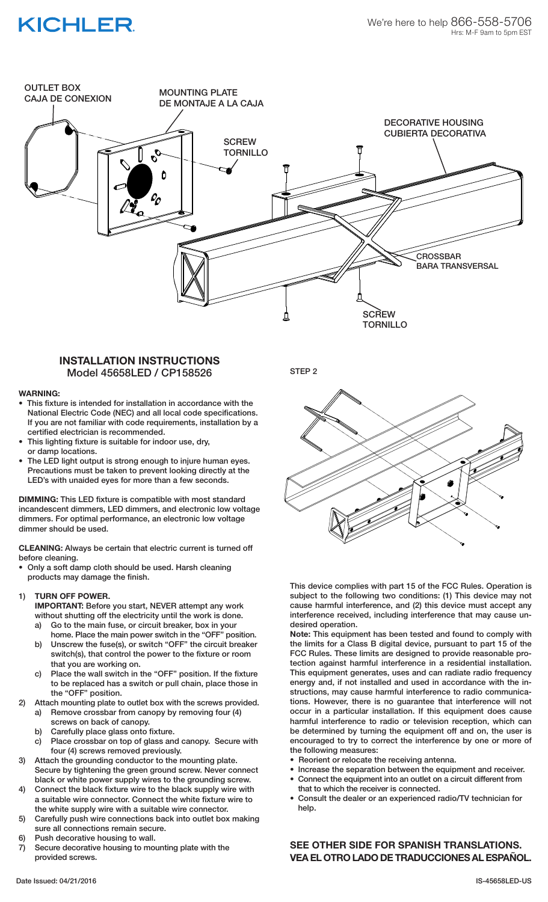# **KICHLER**



### **INSTALLATION INSTRUCTIONS** Model 45658LED / CP158526

#### **WARNING:**

- This fixture is intended for installation in accordance with the National Electric Code (NEC) and all local code specifications. If you are not familiar with code requirements, installation by a certified electrician is recommended.
- This lighting fixture is suitable for indoor use, dry, or damp locations.
- The LED light output is strong enough to injure human eyes. Precautions must be taken to prevent looking directly at the LED's with unaided eyes for more than a few seconds.

**DIMMING:** This LED fixture is compatible with most standard incandescent dimmers, LED dimmers, and electronic low voltage dimmers. For optimal performance, an electronic low voltage dimmer should be used.

**CLEANING:** Always be certain that electric current is turned off before cleaning.

• Only a soft damp cloth should be used. Harsh cleaning products may damage the finish.

#### 1) **TURN OFF POWER.**

 **IMPORTANT:** Before you start, NEVER attempt any work without shutting off the electricity until the work is done.

- a) Go to the main fuse, or circuit breaker, box in your home. Place the main power switch in the "OFF" position.
- b) Unscrew the fuse(s), or switch "OFF" the circuit breaker switch(s), that control the power to the fixture or room that you are working on.
- c) Place the wall switch in the "OFF" position. If the fixture to be replaced has a switch or pull chain, place those in the "OFF" position.
- 2) Attach mounting plate to outlet box with the screws provided.
	- a) Remove crossbar from canopy by removing four (4) screws on back of canopy.
	- b) Carefully place glass onto fixture.
	- c) Place crossbar on top of glass and canopy. Secure with four (4) screws removed previously.
- 3) Attach the grounding conductor to the mounting plate. Secure by tightening the green ground screw. Never connect black or white power supply wires to the grounding screw.
- 4) Connect the black fixture wire to the black supply wire with a suitable wire connector. Connect the white fixture wire to the white supply wire with a suitable wire connector.
- 5) Carefully push wire connections back into outlet box making sure all connections remain secure.
- 6) Push decorative housing to wall.
- 7) Secure decorative housing to mounting plate with the provided screws.

STEP 2



This device complies with part 15 of the FCC Rules. Operation is subject to the following two conditions: (1) This device may not cause harmful interference, and (2) this device must accept any interference received, including interference that may cause undesired operation.

**Note:** This equipment has been tested and found to comply with the limits for a Class B digital device, pursuant to part 15 of the FCC Rules. These limits are designed to provide reasonable protection against harmful interference in a residential installation. This equipment generates, uses and can radiate radio frequency energy and, if not installed and used in accordance with the instructions, may cause harmful interference to radio communications. However, there is no guarantee that interference will not occur in a particular installation. If this equipment does cause harmful interference to radio or television reception, which can be determined by turning the equipment off and on, the user is encouraged to try to correct the interference by one or more of the following measures:

- Reorient or relocate the receiving antenna.
- Increase the separation between the equipment and receiver. Connect the equipment into an outlet on a circuit different from
- that to which the receiver is connected.
- Consult the dealer or an experienced radio/TV technician for help.

**SEE OTHER SIDE FOR SPANISH TRANSLATIONS. VEA EL OTRO LADO DE TRADUCCIONES AL ESPAÑOL.**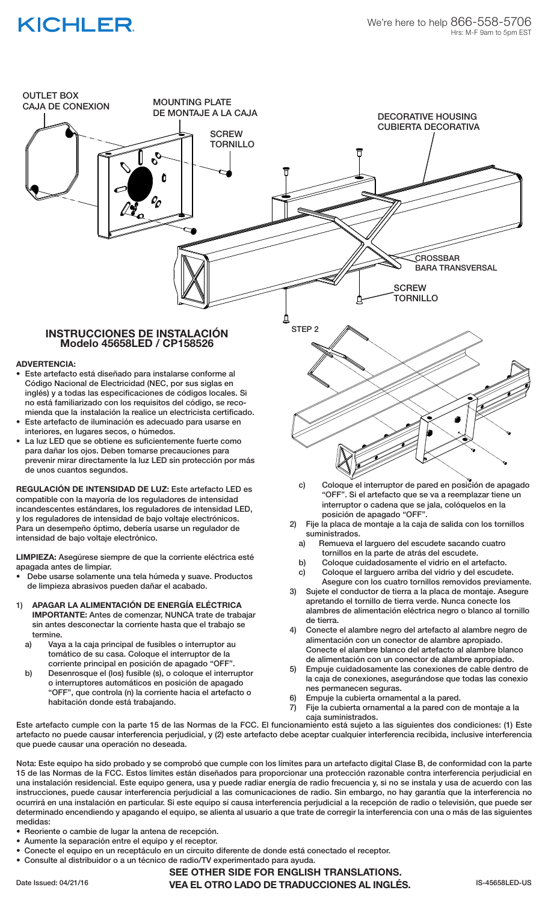# **KICHLER**



La luz LED que se obtiene es suficientemente fuerte como para dañar los ojos. Deben tomarse precauciones para prevenir mirar directamente la luz LED sin protección por más de unos cuantos segundos.

**REGULACIÓN DE INTENSIDAD DE LUZ:** Este artefacto LED es compatible con la mayoría de los reguladores de intensidad incandescentes estándares, los reguladores de intensidad LED, y los reguladores de intensidad de bajo voltaje electrónicos. Para un desempeño óptimo, debería usarse un regulador de intensidad de bajo voltaje electrónico.

**LIMPIEZA:** Asegúrese siempre de que la corriente eléctrica esté apagada antes de limpiar.

- Debe usarse solamente una tela húmeda y suave. Productos de limpieza abrasivos pueden dañar el acabado.
- 1) **APAGAR LA ALIMENTACIÓN DE ENERGÍA ELÉCTRICA IMPORTANTE:** Antes de comenzar, NUNCA trate de trabajar sin antes desconectar la corriente hasta que el trabajo se termine.
	- a) Vaya a la caja principal de fusibles o interruptor au tomático de su casa. Coloque el interruptor de la
	- corriente principal en posición de apagado "OFF".<br>b) Desenrosque el (los) fusible (s), o coloque el interro b) Desenrosque el (los) fusible (s), o coloque el interruptor o interruptores automáticos en posición de apagado "OFF", que controla (n) la corriente hacia el artefacto o habitación donde está trabajando.
- c) Coloque el interruptor de pared en posición de apagado "OFF". Si el artefacto que se va a reemplazar tiene un interruptor o cadena que se jala, colóquelos en la posición de apagado "OFF".
- 2) Fije la placa de montaje a la caja de salida con los tornillos suministrados.
	- a) Remueva el larguero del escudete sacando cuatro tornillos en la parte de atrás del escudete.
	- b) Coloque cuidadosamente el vidrio en el artefacto.
	- c) Coloque el larguero arriba del vidrio y del escudete.
- Asegure con los cuatro tornillos removidos previamente. 3) Sujete el conductor de tierra a la placa de montaje. Asegure
- apretando el tornillo de tierra verde. Nunca conecte los alambres de alimentación eléctrica negro o blanco al tornillo de tierra.
- 4) Conecte el alambre negro del artefacto al alambre negro de alimentación con un conector de alambre apropiado. Conecte el alambre blanco del artefacto al alambre blanco de alimentación con un conector de alambre apropiado.
- 5) Empuje cuidadosamente las conexiones de cable dentro de la caja de conexiones, asegurándose que todas las conexio
- nes permanecen seguras.<br>6) Empuie la cubierta ornamente Empuje la cubierta ornamental a la pared.
- 7) Fije la cubierta ornamental a la pared con de montaje a la caja suministrados.

Este artefacto cumple con la parte 15 de las Normas de la FCC. El funcionamiento está sujeto a las siguientes dos condiciones: (1) Este artefacto no puede causar interferencia perjudicial, y (2) este artefacto debe aceptar cualquier interferencia recibida, inclusive interferencia que puede causar una operación no deseada.

Nota: Este equipo ha sido probado y se comprobó que cumple con los límites para un artefacto digital Clase B, de conformidad con la parte 15 de las Normas de la FCC. Estos límites están diseñados para proporcionar una protección razonable contra interferencia perjudicial en una instalación residencial. Este equipo genera, usa y puede radiar energía de radio frecuencia y, si no se instala y usa de acuerdo con las instrucciones, puede causar interferencia perjudicial a las comunicaciones de radio. Sin embargo, no hay garantía que la interferencia no ocurrirá en una instalación en particular. Si este equipo sí causa interferencia perjudicial a la recepción de radio o televisión, que puede ser determinado encendiendo y apagando el equipo, se alienta al usuario a que trate de corregir la interferencia con una o más de las siguientes medidas:

- Reoriente o cambie de lugar la antena de recepción.
- Aumente la separación entre el equipo y el receptor.
- Conecte el equipo en un receptáculo en un circuito diferente de donde está conectado el receptor.
- Consulte al distribuidor o a un técnico de radio/TV experimentado para ayuda.

Date Issued: 04/21/16 **IS-45658LED-US VEA EL OTRO LADO DE TRADUCCIONES AL INGLÉS.** IS-45658LED-US **SEE OTHER SIDE FOR ENGLISH TRANSLATIONS.**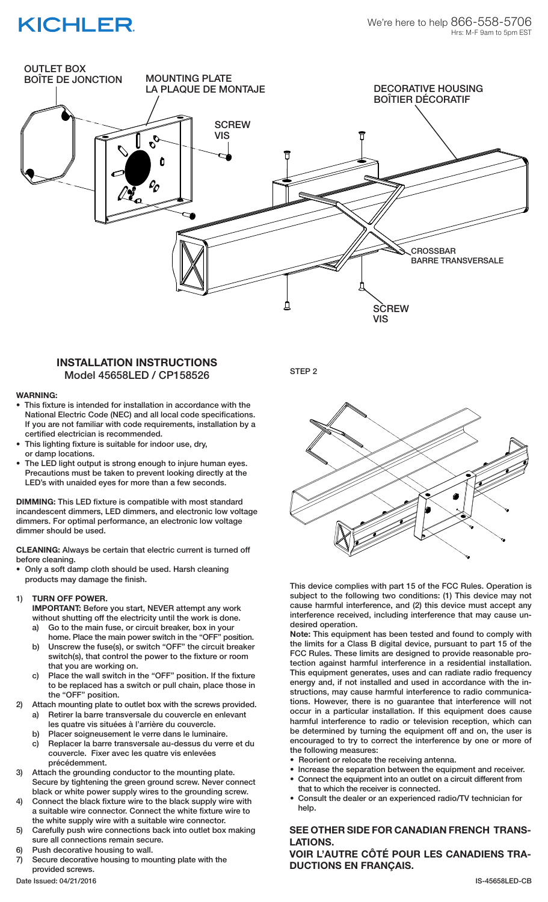# **KICHLER**



## **INSTALLATION INSTRUCTIONS** Model 45658LED / CP158526

#### **WARNING:**

- This fixture is intended for installation in accordance with the National Electric Code (NEC) and all local code specifications. If you are not familiar with code requirements, installation by a certified electrician is recommended.
- This lighting fixture is suitable for indoor use, dry, or damp locations.
- The LED light output is strong enough to injure human eyes. Precautions must be taken to prevent looking directly at the LED's with unaided eyes for more than a few seconds.

**DIMMING:** This LED fixture is compatible with most standard incandescent dimmers, LED dimmers, and electronic low voltage dimmers. For optimal performance, an electronic low voltage dimmer should be used.

**CLEANING:** Always be certain that electric current is turned off before cleaning.

• Only a soft damp cloth should be used. Harsh cleaning products may damage the finish.

#### 1) **TURN OFF POWER.**

 **IMPORTANT:** Before you start, NEVER attempt any work without shutting off the electricity until the work is done.

- a) Go to the main fuse, or circuit breaker, box in your home. Place the main power switch in the "OFF" position.
- b) Unscrew the fuse(s), or switch "OFF" the circuit breaker switch(s), that control the power to the fixture or room that you are working on.
- c) Place the wall switch in the "OFF" position. If the fixture to be replaced has a switch or pull chain, place those in the "OFF" position.

2) Attach mounting plate to outlet box with the screws provided.

- a) Retirer la barre transversale du couvercle en enlevant les quatre vis situées à l'arrière du couvercle.
- b) Placer soigneusement le verre dans le luminaire.
- c) Replacer la barre transversale au-dessus du verre et du couvercle. Fixer avec les quatre vis enlevées précédemment.
- 3) Attach the grounding conductor to the mounting plate. Secure by tightening the green ground screw. Never connect black or white power supply wires to the grounding screw.
- 4) Connect the black fixture wire to the black supply wire with a suitable wire connector. Connect the white fixture wire to the white supply wire with a suitable wire connector.
- 5) Carefully push wire connections back into outlet box making sure all connections remain secure.
- 6) Push decorative housing to wall.
- 7) Secure decorative housing to mounting plate with the provided screws.

STEP<sub>2</sub>



This device complies with part 15 of the FCC Rules. Operation is subject to the following two conditions: (1) This device may not cause harmful interference, and (2) this device must accept any interference received, including interference that may cause undesired operation.

**Note:** This equipment has been tested and found to comply with the limits for a Class B digital device, pursuant to part 15 of the FCC Rules. These limits are designed to provide reasonable protection against harmful interference in a residential installation. This equipment generates, uses and can radiate radio frequency energy and, if not installed and used in accordance with the instructions, may cause harmful interference to radio communications. However, there is no guarantee that interference will not occur in a particular installation. If this equipment does cause harmful interference to radio or television reception, which can be determined by turning the equipment off and on, the user is encouraged to try to correct the interference by one or more of the following measures:

- Reorient or relocate the receiving antenna.
- Increase the separation between the equipment and receiver. Connect the equipment into an outlet on a circuit different from
- that to which the receiver is connected.
- Consult the dealer or an experienced radio/TV technician for help.

### **SEE OTHER SIDE FOR CANADIAN FRENCH TRANS-LATIONS.**

**VOIR L'AUTRE CÔTÉ POUR LES CANADIENS TRA-DUCTIONS EN FRANÇAIS.**